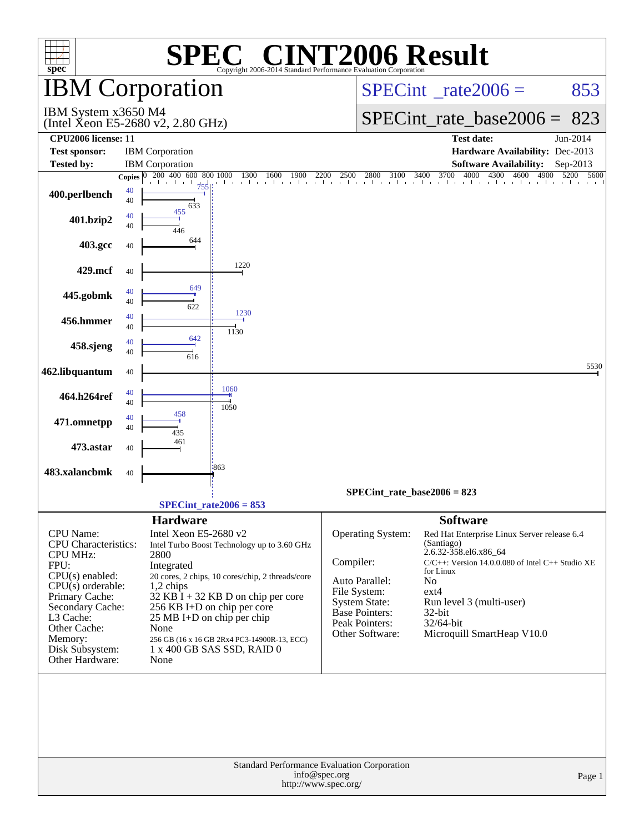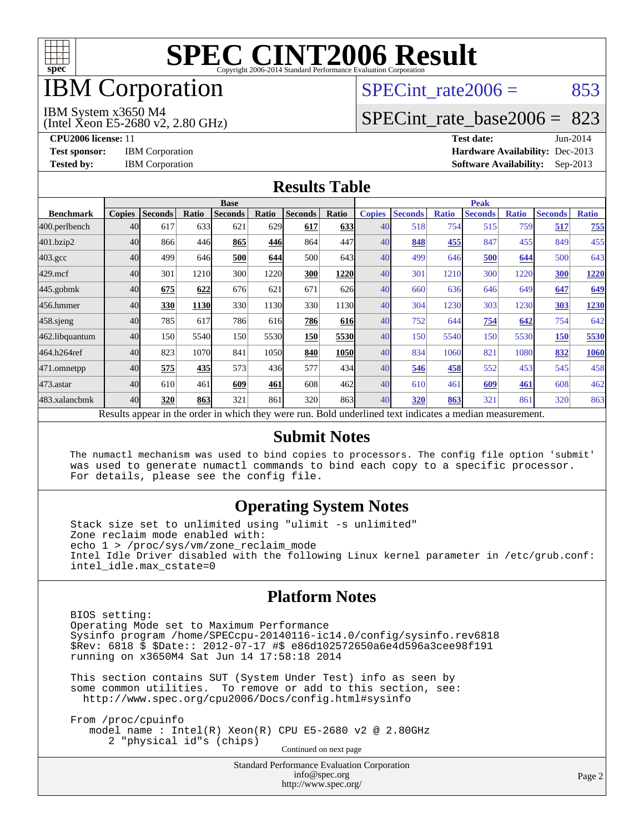

# IBM Corporation

# SPECint rate $2006 = 853$

#### IBM System x3650 M4

(Intel Xeon E5-2680 v2, 2.80 GHz)

[SPECint\\_rate\\_base2006 =](http://www.spec.org/auto/cpu2006/Docs/result-fields.html#SPECintratebase2006) 823

**[CPU2006 license:](http://www.spec.org/auto/cpu2006/Docs/result-fields.html#CPU2006license)** 11 **[Test date:](http://www.spec.org/auto/cpu2006/Docs/result-fields.html#Testdate)** Jun-2014 **[Test sponsor:](http://www.spec.org/auto/cpu2006/Docs/result-fields.html#Testsponsor)** IBM Corporation **[Hardware Availability:](http://www.spec.org/auto/cpu2006/Docs/result-fields.html#HardwareAvailability)** Dec-2013 **[Tested by:](http://www.spec.org/auto/cpu2006/Docs/result-fields.html#Testedby)** IBM Corporation **[Software Availability:](http://www.spec.org/auto/cpu2006/Docs/result-fields.html#SoftwareAvailability)** Sep-2013

### **[Results Table](http://www.spec.org/auto/cpu2006/Docs/result-fields.html#ResultsTable)**

|                    | <b>Base</b>   |                |       |                                                                                                          |       |                |            | <b>Peak</b>   |                |              |                |              |                |              |
|--------------------|---------------|----------------|-------|----------------------------------------------------------------------------------------------------------|-------|----------------|------------|---------------|----------------|--------------|----------------|--------------|----------------|--------------|
| <b>Benchmark</b>   | <b>Copies</b> | <b>Seconds</b> | Ratio | <b>Seconds</b>                                                                                           | Ratio | <b>Seconds</b> | Ratio      | <b>Copies</b> | <b>Seconds</b> | <b>Ratio</b> | <b>Seconds</b> | <b>Ratio</b> | <b>Seconds</b> | <b>Ratio</b> |
| 400.perlbench      | 40            | 617            | 633   | 621                                                                                                      | 629   | 617            | 633        | 40            | 518            | 754          | 515            | 759          | 517            | 755          |
| 401.bzip2          | 40            | 866            | 446   | 865                                                                                                      | 446   | 864            | 447        | 40            | 848            | 455          | 847            | 455          | 849            | 455          |
| $403.\mathrm{gcc}$ | 40            | 499            | 646   | 500                                                                                                      | 644   | 500            | 643I       | 40            | 499            | 646          | 500            | 644          | 500            | 643          |
| $429$ .mcf         | 40            | 301            | 1210  | 300                                                                                                      | 1220  | 300            | 1220       | 40            | 301            | 1210         | 300            | 1220         | 300            | 1220         |
| $445$ .gobmk       | 40            | 675            | 622   | 676                                                                                                      | 621   | 671            | 626        | 40            | 660            | 636          | 646            | 649          | 647            | 649          |
| 456.hmmer          | 40            | 330            | 1130  | 330                                                                                                      | 1130  | 330            | 1130       | 40            | 304            | 1230         | 303            | 1230         | 303            | 1230         |
| $458$ .sjeng       | 40            | 785            | 617   | 786                                                                                                      | 616   | 786            | <b>616</b> | 40            | 752            | 644          | 754            | 642          | 754            | 642          |
| 462.libquantum     | 40            | 150            | 5540  | 150                                                                                                      | 5530  | 150            | 5530       | 40            | 150            | 5540         | 150            | 5530         | 150            | 5530         |
| 464.h264ref        | 40            | 823            | 1070  | 841                                                                                                      | 1050  | 840            | 1050       | 40            | 834            | 1060         | 821            | 1080         | 832            | 1060         |
| 471.omnetpp        | 40            | 575            | 435   | 573                                                                                                      | 436   | 577            | 434        | 40            | 546            | 458          | 552            | 453          | 545            | 458          |
| $473$ . astar      | 40            | 610            | 461   | 609                                                                                                      | 461   | 608            | 462l       | 40            | 610            | 461          | 609            | 461          | 608            | 462          |
| 483.xalancbmk      | 40            | 320            | 863   | 321                                                                                                      | 861   | 320            | 863        | 40            | 320            | 863          | 321            | 861          | 320            | 863          |
|                    |               |                |       | Results appear in the order in which they were run. Bold underlined text indicates a median measurement. |       |                |            |               |                |              |                |              |                |              |

#### **[Submit Notes](http://www.spec.org/auto/cpu2006/Docs/result-fields.html#SubmitNotes)**

 The numactl mechanism was used to bind copies to processors. The config file option 'submit' was used to generate numactl commands to bind each copy to a specific processor. For details, please see the config file.

### **[Operating System Notes](http://www.spec.org/auto/cpu2006/Docs/result-fields.html#OperatingSystemNotes)**

 Stack size set to unlimited using "ulimit -s unlimited" Zone reclaim mode enabled with: echo 1 > /proc/sys/vm/zone\_reclaim\_mode Intel Idle Driver disabled with the following Linux kernel parameter in /etc/grub.conf: intel\_idle.max\_cstate=0

### **[Platform Notes](http://www.spec.org/auto/cpu2006/Docs/result-fields.html#PlatformNotes)**

 BIOS setting: Operating Mode set to Maximum Performance Sysinfo program /home/SPECcpu-20140116-ic14.0/config/sysinfo.rev6818 \$Rev: 6818 \$ \$Date:: 2012-07-17 #\$ e86d102572650a6e4d596a3cee98f191 running on x3650M4 Sat Jun 14 17:58:18 2014

 This section contains SUT (System Under Test) info as seen by some common utilities. To remove or add to this section, see: <http://www.spec.org/cpu2006/Docs/config.html#sysinfo>

 From /proc/cpuinfo model name : Intel(R) Xeon(R) CPU E5-2680 v2 @ 2.80GHz 2 "physical id"s (chips) Continued on next page

> Standard Performance Evaluation Corporation [info@spec.org](mailto:info@spec.org) <http://www.spec.org/>

Page 2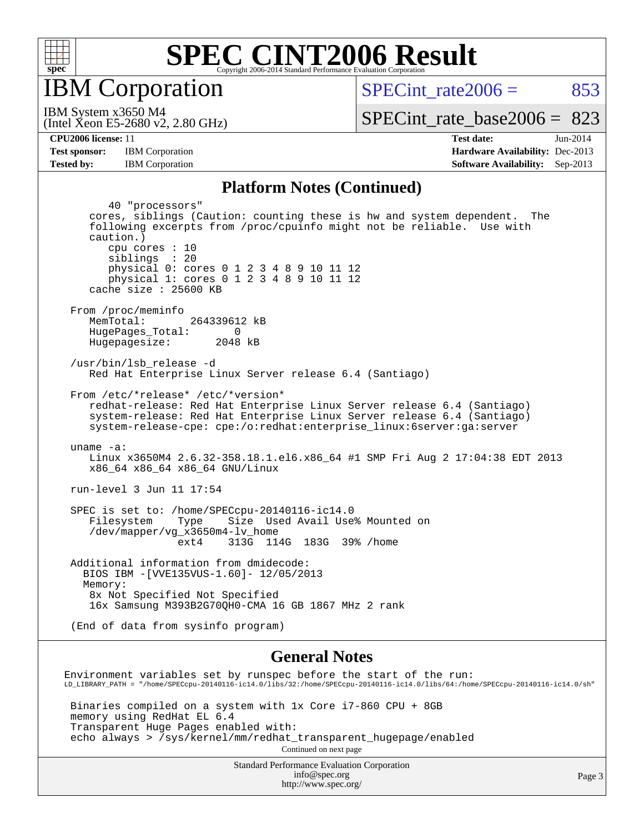

IBM Corporation

SPECint rate $2006 = 853$ 

(Intel Xeon E5-2680 v2, 2.80 GHz) IBM System x3650 M4

[SPECint\\_rate\\_base2006 =](http://www.spec.org/auto/cpu2006/Docs/result-fields.html#SPECintratebase2006) 823

**[Tested by:](http://www.spec.org/auto/cpu2006/Docs/result-fields.html#Testedby)** IBM Corporation **[Software Availability:](http://www.spec.org/auto/cpu2006/Docs/result-fields.html#SoftwareAvailability)** Sep-2013

**[CPU2006 license:](http://www.spec.org/auto/cpu2006/Docs/result-fields.html#CPU2006license)** 11 **[Test date:](http://www.spec.org/auto/cpu2006/Docs/result-fields.html#Testdate)** Jun-2014 **[Test sponsor:](http://www.spec.org/auto/cpu2006/Docs/result-fields.html#Testsponsor)** IBM Corporation **[Hardware Availability:](http://www.spec.org/auto/cpu2006/Docs/result-fields.html#HardwareAvailability)** Dec-2013

#### **[Platform Notes \(Continued\)](http://www.spec.org/auto/cpu2006/Docs/result-fields.html#PlatformNotes)**

 40 "processors" cores, siblings (Caution: counting these is hw and system dependent. The following excerpts from /proc/cpuinfo might not be reliable. Use with caution.) cpu cores : 10 siblings : 20 physical 0: cores 0 1 2 3 4 8 9 10 11 12 physical 1: cores 0 1 2 3 4 8 9 10 11 12 cache size : 25600 KB From /proc/meminfo MemTotal: 264339612 kB HugePages\_Total: 0<br>Hugepagesize: 2048 kB Hugepagesize: /usr/bin/lsb\_release -d Red Hat Enterprise Linux Server release 6.4 (Santiago) From /etc/\*release\* /etc/\*version\* redhat-release: Red Hat Enterprise Linux Server release 6.4 (Santiago) system-release: Red Hat Enterprise Linux Server release 6.4 (Santiago) system-release-cpe: cpe:/o:redhat:enterprise\_linux:6server:ga:server uname -a: Linux x3650M4 2.6.32-358.18.1.el6.x86\_64 #1 SMP Fri Aug 2 17:04:38 EDT 2013 x86\_64 x86\_64 x86\_64 GNU/Linux run-level 3 Jun 11 17:54 SPEC is set to: /home/SPECcpu-20140116-ic14.0 Filesystem Type Size Used Avail Use% Mounted on /dev/mapper/vg\_x3650m4-lv\_home ext4 313G 114G 183G 39% /home Additional information from dmidecode: BIOS IBM -[VVE135VUS-1.60]- 12/05/2013 Memory: 8x Not Specified Not Specified 16x Samsung M393B2G70QH0-CMA 16 GB 1867 MHz 2 rank (End of data from sysinfo program) **[General Notes](http://www.spec.org/auto/cpu2006/Docs/result-fields.html#GeneralNotes)** Environment variables set by runspec before the start of the run: LD\_LIBRARY\_PATH = "/home/SPECcpu-20140116-ic14.0/libs/32:/home/SPECcpu-20140116-ic14.0/libs/64:/home/SPECcpu-20140116-ic14.0/sh"

 Binaries compiled on a system with 1x Core i7-860 CPU + 8GB memory using RedHat EL 6.4 Transparent Huge Pages enabled with: echo always > /sys/kernel/mm/redhat\_transparent\_hugepage/enabled Continued on next page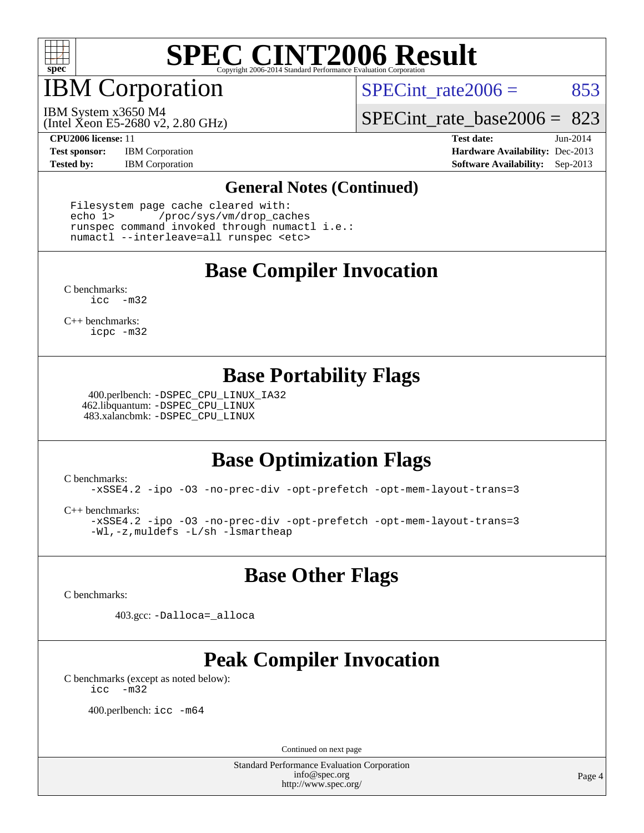

IBM Corporation

SPECint rate $2006 = 853$ 

(Intel Xeon E5-2680 v2, 2.80 GHz) IBM System x3650 M4

[SPECint\\_rate\\_base2006 =](http://www.spec.org/auto/cpu2006/Docs/result-fields.html#SPECintratebase2006) 823

**[Test sponsor:](http://www.spec.org/auto/cpu2006/Docs/result-fields.html#Testsponsor)** IBM Corporation **[Hardware Availability:](http://www.spec.org/auto/cpu2006/Docs/result-fields.html#HardwareAvailability)** Dec-2013

**[CPU2006 license:](http://www.spec.org/auto/cpu2006/Docs/result-fields.html#CPU2006license)** 11 **[Test date:](http://www.spec.org/auto/cpu2006/Docs/result-fields.html#Testdate)** Jun-2014 **[Tested by:](http://www.spec.org/auto/cpu2006/Docs/result-fields.html#Testedby)** IBM Corporation **[Software Availability:](http://www.spec.org/auto/cpu2006/Docs/result-fields.html#SoftwareAvailability)** Sep-2013

#### **[General Notes \(Continued\)](http://www.spec.org/auto/cpu2006/Docs/result-fields.html#GeneralNotes)**

 Filesystem page cache cleared with: echo 1> /proc/sys/vm/drop\_caches runspec command invoked through numactl i.e.: numactl --interleave=all runspec <etc>

## **[Base Compiler Invocation](http://www.spec.org/auto/cpu2006/Docs/result-fields.html#BaseCompilerInvocation)**

[C benchmarks](http://www.spec.org/auto/cpu2006/Docs/result-fields.html#Cbenchmarks): [icc -m32](http://www.spec.org/cpu2006/results/res2014q3/cpu2006-20140617-29957.flags.html#user_CCbase_intel_icc_5ff4a39e364c98233615fdd38438c6f2)

[C++ benchmarks:](http://www.spec.org/auto/cpu2006/Docs/result-fields.html#CXXbenchmarks) [icpc -m32](http://www.spec.org/cpu2006/results/res2014q3/cpu2006-20140617-29957.flags.html#user_CXXbase_intel_icpc_4e5a5ef1a53fd332b3c49e69c3330699)

### **[Base Portability Flags](http://www.spec.org/auto/cpu2006/Docs/result-fields.html#BasePortabilityFlags)**

 400.perlbench: [-DSPEC\\_CPU\\_LINUX\\_IA32](http://www.spec.org/cpu2006/results/res2014q3/cpu2006-20140617-29957.flags.html#b400.perlbench_baseCPORTABILITY_DSPEC_CPU_LINUX_IA32) 462.libquantum: [-DSPEC\\_CPU\\_LINUX](http://www.spec.org/cpu2006/results/res2014q3/cpu2006-20140617-29957.flags.html#b462.libquantum_baseCPORTABILITY_DSPEC_CPU_LINUX) 483.xalancbmk: [-DSPEC\\_CPU\\_LINUX](http://www.spec.org/cpu2006/results/res2014q3/cpu2006-20140617-29957.flags.html#b483.xalancbmk_baseCXXPORTABILITY_DSPEC_CPU_LINUX)

## **[Base Optimization Flags](http://www.spec.org/auto/cpu2006/Docs/result-fields.html#BaseOptimizationFlags)**

[C benchmarks](http://www.spec.org/auto/cpu2006/Docs/result-fields.html#Cbenchmarks):

[-xSSE4.2](http://www.spec.org/cpu2006/results/res2014q3/cpu2006-20140617-29957.flags.html#user_CCbase_f-xSSE42_f91528193cf0b216347adb8b939d4107) [-ipo](http://www.spec.org/cpu2006/results/res2014q3/cpu2006-20140617-29957.flags.html#user_CCbase_f-ipo) [-O3](http://www.spec.org/cpu2006/results/res2014q3/cpu2006-20140617-29957.flags.html#user_CCbase_f-O3) [-no-prec-div](http://www.spec.org/cpu2006/results/res2014q3/cpu2006-20140617-29957.flags.html#user_CCbase_f-no-prec-div) [-opt-prefetch](http://www.spec.org/cpu2006/results/res2014q3/cpu2006-20140617-29957.flags.html#user_CCbase_f-opt-prefetch) [-opt-mem-layout-trans=3](http://www.spec.org/cpu2006/results/res2014q3/cpu2006-20140617-29957.flags.html#user_CCbase_f-opt-mem-layout-trans_a7b82ad4bd7abf52556d4961a2ae94d5)

[C++ benchmarks:](http://www.spec.org/auto/cpu2006/Docs/result-fields.html#CXXbenchmarks)

[-xSSE4.2](http://www.spec.org/cpu2006/results/res2014q3/cpu2006-20140617-29957.flags.html#user_CXXbase_f-xSSE42_f91528193cf0b216347adb8b939d4107) [-ipo](http://www.spec.org/cpu2006/results/res2014q3/cpu2006-20140617-29957.flags.html#user_CXXbase_f-ipo) [-O3](http://www.spec.org/cpu2006/results/res2014q3/cpu2006-20140617-29957.flags.html#user_CXXbase_f-O3) [-no-prec-div](http://www.spec.org/cpu2006/results/res2014q3/cpu2006-20140617-29957.flags.html#user_CXXbase_f-no-prec-div) [-opt-prefetch](http://www.spec.org/cpu2006/results/res2014q3/cpu2006-20140617-29957.flags.html#user_CXXbase_f-opt-prefetch) [-opt-mem-layout-trans=3](http://www.spec.org/cpu2006/results/res2014q3/cpu2006-20140617-29957.flags.html#user_CXXbase_f-opt-mem-layout-trans_a7b82ad4bd7abf52556d4961a2ae94d5) [-Wl,-z,muldefs](http://www.spec.org/cpu2006/results/res2014q3/cpu2006-20140617-29957.flags.html#user_CXXbase_link_force_multiple1_74079c344b956b9658436fd1b6dd3a8a) [-L/sh -lsmartheap](http://www.spec.org/cpu2006/results/res2014q3/cpu2006-20140617-29957.flags.html#user_CXXbase_SmartHeap_32f6c82aa1ed9c52345d30cf6e4a0499)

## **[Base Other Flags](http://www.spec.org/auto/cpu2006/Docs/result-fields.html#BaseOtherFlags)**

[C benchmarks](http://www.spec.org/auto/cpu2006/Docs/result-fields.html#Cbenchmarks):

403.gcc: [-Dalloca=\\_alloca](http://www.spec.org/cpu2006/results/res2014q3/cpu2006-20140617-29957.flags.html#b403.gcc_baseEXTRA_CFLAGS_Dalloca_be3056838c12de2578596ca5467af7f3)

## **[Peak Compiler Invocation](http://www.spec.org/auto/cpu2006/Docs/result-fields.html#PeakCompilerInvocation)**

[C benchmarks \(except as noted below\)](http://www.spec.org/auto/cpu2006/Docs/result-fields.html#Cbenchmarksexceptasnotedbelow): [icc -m32](http://www.spec.org/cpu2006/results/res2014q3/cpu2006-20140617-29957.flags.html#user_CCpeak_intel_icc_5ff4a39e364c98233615fdd38438c6f2)

400.perlbench: [icc -m64](http://www.spec.org/cpu2006/results/res2014q3/cpu2006-20140617-29957.flags.html#user_peakCCLD400_perlbench_intel_icc_64bit_bda6cc9af1fdbb0edc3795bac97ada53)

Continued on next page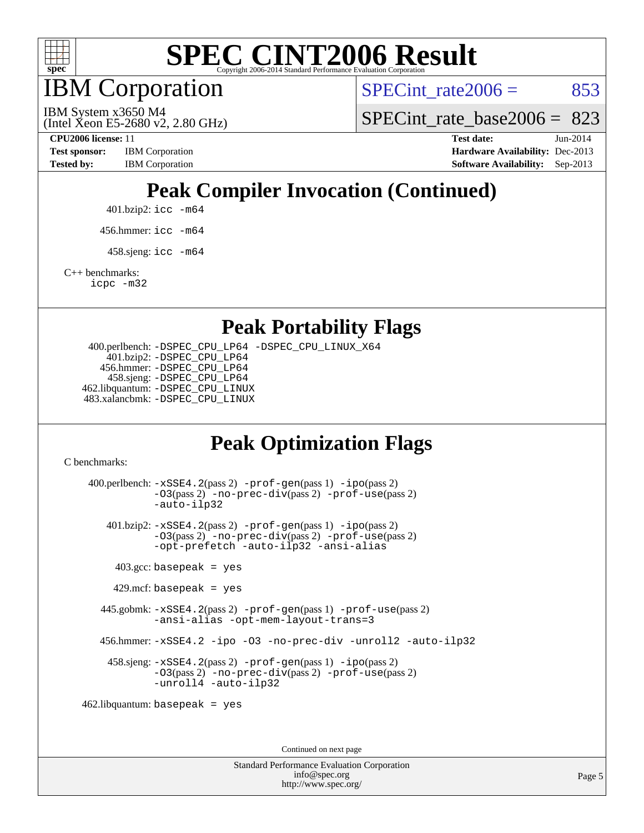

IBM Corporation

SPECint rate $2006 = 853$ 

(Intel Xeon E5-2680 v2, 2.80 GHz) IBM System x3650 M4

SPECint rate base  $2006 = 823$ 

**[CPU2006 license:](http://www.spec.org/auto/cpu2006/Docs/result-fields.html#CPU2006license)** 11 **[Test date:](http://www.spec.org/auto/cpu2006/Docs/result-fields.html#Testdate)** Jun-2014 **[Test sponsor:](http://www.spec.org/auto/cpu2006/Docs/result-fields.html#Testsponsor)** IBM Corporation **[Hardware Availability:](http://www.spec.org/auto/cpu2006/Docs/result-fields.html#HardwareAvailability)** Dec-2013 [Tested by:](http://www.spec.org/auto/cpu2006/Docs/result-fields.html#Testedby) IBM Corporation **[Software Availability:](http://www.spec.org/auto/cpu2006/Docs/result-fields.html#SoftwareAvailability)** Sep-2013

## **[Peak Compiler Invocation \(Continued\)](http://www.spec.org/auto/cpu2006/Docs/result-fields.html#PeakCompilerInvocation)**

401.bzip2: [icc -m64](http://www.spec.org/cpu2006/results/res2014q3/cpu2006-20140617-29957.flags.html#user_peakCCLD401_bzip2_intel_icc_64bit_bda6cc9af1fdbb0edc3795bac97ada53)

456.hmmer: [icc -m64](http://www.spec.org/cpu2006/results/res2014q3/cpu2006-20140617-29957.flags.html#user_peakCCLD456_hmmer_intel_icc_64bit_bda6cc9af1fdbb0edc3795bac97ada53)

 $458 \text{.}$ sjeng: icc  $-\text{m64}$ 

[C++ benchmarks:](http://www.spec.org/auto/cpu2006/Docs/result-fields.html#CXXbenchmarks)

[icpc -m32](http://www.spec.org/cpu2006/results/res2014q3/cpu2006-20140617-29957.flags.html#user_CXXpeak_intel_icpc_4e5a5ef1a53fd332b3c49e69c3330699)

**[Peak Portability Flags](http://www.spec.org/auto/cpu2006/Docs/result-fields.html#PeakPortabilityFlags)**

 400.perlbench: [-DSPEC\\_CPU\\_LP64](http://www.spec.org/cpu2006/results/res2014q3/cpu2006-20140617-29957.flags.html#b400.perlbench_peakCPORTABILITY_DSPEC_CPU_LP64) [-DSPEC\\_CPU\\_LINUX\\_X64](http://www.spec.org/cpu2006/results/res2014q3/cpu2006-20140617-29957.flags.html#b400.perlbench_peakCPORTABILITY_DSPEC_CPU_LINUX_X64) 401.bzip2: [-DSPEC\\_CPU\\_LP64](http://www.spec.org/cpu2006/results/res2014q3/cpu2006-20140617-29957.flags.html#suite_peakCPORTABILITY401_bzip2_DSPEC_CPU_LP64) 456.hmmer: [-DSPEC\\_CPU\\_LP64](http://www.spec.org/cpu2006/results/res2014q3/cpu2006-20140617-29957.flags.html#suite_peakCPORTABILITY456_hmmer_DSPEC_CPU_LP64) 458.sjeng: [-DSPEC\\_CPU\\_LP64](http://www.spec.org/cpu2006/results/res2014q3/cpu2006-20140617-29957.flags.html#suite_peakCPORTABILITY458_sjeng_DSPEC_CPU_LP64) 462.libquantum: [-DSPEC\\_CPU\\_LINUX](http://www.spec.org/cpu2006/results/res2014q3/cpu2006-20140617-29957.flags.html#b462.libquantum_peakCPORTABILITY_DSPEC_CPU_LINUX) 483.xalancbmk: [-DSPEC\\_CPU\\_LINUX](http://www.spec.org/cpu2006/results/res2014q3/cpu2006-20140617-29957.flags.html#b483.xalancbmk_peakCXXPORTABILITY_DSPEC_CPU_LINUX)

## **[Peak Optimization Flags](http://www.spec.org/auto/cpu2006/Docs/result-fields.html#PeakOptimizationFlags)**

[C benchmarks](http://www.spec.org/auto/cpu2006/Docs/result-fields.html#Cbenchmarks):

 400.perlbench: [-xSSE4.2](http://www.spec.org/cpu2006/results/res2014q3/cpu2006-20140617-29957.flags.html#user_peakPASS2_CFLAGSPASS2_LDCFLAGS400_perlbench_f-xSSE42_f91528193cf0b216347adb8b939d4107)(pass 2) [-prof-gen](http://www.spec.org/cpu2006/results/res2014q3/cpu2006-20140617-29957.flags.html#user_peakPASS1_CFLAGSPASS1_LDCFLAGS400_perlbench_prof_gen_e43856698f6ca7b7e442dfd80e94a8fc)(pass 1) [-ipo](http://www.spec.org/cpu2006/results/res2014q3/cpu2006-20140617-29957.flags.html#user_peakPASS2_CFLAGSPASS2_LDCFLAGS400_perlbench_f-ipo)(pass 2) [-O3](http://www.spec.org/cpu2006/results/res2014q3/cpu2006-20140617-29957.flags.html#user_peakPASS2_CFLAGSPASS2_LDCFLAGS400_perlbench_f-O3)(pass 2) [-no-prec-div](http://www.spec.org/cpu2006/results/res2014q3/cpu2006-20140617-29957.flags.html#user_peakPASS2_CFLAGSPASS2_LDCFLAGS400_perlbench_f-no-prec-div)(pass 2) [-prof-use](http://www.spec.org/cpu2006/results/res2014q3/cpu2006-20140617-29957.flags.html#user_peakPASS2_CFLAGSPASS2_LDCFLAGS400_perlbench_prof_use_bccf7792157ff70d64e32fe3e1250b55)(pass 2) [-auto-ilp32](http://www.spec.org/cpu2006/results/res2014q3/cpu2006-20140617-29957.flags.html#user_peakCOPTIMIZE400_perlbench_f-auto-ilp32) 401.bzip2: [-xSSE4.2](http://www.spec.org/cpu2006/results/res2014q3/cpu2006-20140617-29957.flags.html#user_peakPASS2_CFLAGSPASS2_LDCFLAGS401_bzip2_f-xSSE42_f91528193cf0b216347adb8b939d4107)(pass 2) [-prof-gen](http://www.spec.org/cpu2006/results/res2014q3/cpu2006-20140617-29957.flags.html#user_peakPASS1_CFLAGSPASS1_LDCFLAGS401_bzip2_prof_gen_e43856698f6ca7b7e442dfd80e94a8fc)(pass 1) [-ipo](http://www.spec.org/cpu2006/results/res2014q3/cpu2006-20140617-29957.flags.html#user_peakPASS2_CFLAGSPASS2_LDCFLAGS401_bzip2_f-ipo)(pass 2) [-O3](http://www.spec.org/cpu2006/results/res2014q3/cpu2006-20140617-29957.flags.html#user_peakPASS2_CFLAGSPASS2_LDCFLAGS401_bzip2_f-O3)(pass 2) [-no-prec-div](http://www.spec.org/cpu2006/results/res2014q3/cpu2006-20140617-29957.flags.html#user_peakPASS2_CFLAGSPASS2_LDCFLAGS401_bzip2_f-no-prec-div)(pass 2) [-prof-use](http://www.spec.org/cpu2006/results/res2014q3/cpu2006-20140617-29957.flags.html#user_peakPASS2_CFLAGSPASS2_LDCFLAGS401_bzip2_prof_use_bccf7792157ff70d64e32fe3e1250b55)(pass 2) [-opt-prefetch](http://www.spec.org/cpu2006/results/res2014q3/cpu2006-20140617-29957.flags.html#user_peakCOPTIMIZE401_bzip2_f-opt-prefetch) [-auto-ilp32](http://www.spec.org/cpu2006/results/res2014q3/cpu2006-20140617-29957.flags.html#user_peakCOPTIMIZE401_bzip2_f-auto-ilp32) [-ansi-alias](http://www.spec.org/cpu2006/results/res2014q3/cpu2006-20140617-29957.flags.html#user_peakCOPTIMIZE401_bzip2_f-ansi-alias)  $403.\text{gcc: basepeak}$  = yes  $429$ .mcf: basepeak = yes 445.gobmk: [-xSSE4.2](http://www.spec.org/cpu2006/results/res2014q3/cpu2006-20140617-29957.flags.html#user_peakPASS2_CFLAGSPASS2_LDCFLAGS445_gobmk_f-xSSE42_f91528193cf0b216347adb8b939d4107)(pass 2) [-prof-gen](http://www.spec.org/cpu2006/results/res2014q3/cpu2006-20140617-29957.flags.html#user_peakPASS1_CFLAGSPASS1_LDCFLAGS445_gobmk_prof_gen_e43856698f6ca7b7e442dfd80e94a8fc)(pass 1) [-prof-use](http://www.spec.org/cpu2006/results/res2014q3/cpu2006-20140617-29957.flags.html#user_peakPASS2_CFLAGSPASS2_LDCFLAGS445_gobmk_prof_use_bccf7792157ff70d64e32fe3e1250b55)(pass 2) [-ansi-alias](http://www.spec.org/cpu2006/results/res2014q3/cpu2006-20140617-29957.flags.html#user_peakCOPTIMIZE445_gobmk_f-ansi-alias) [-opt-mem-layout-trans=3](http://www.spec.org/cpu2006/results/res2014q3/cpu2006-20140617-29957.flags.html#user_peakCOPTIMIZE445_gobmk_f-opt-mem-layout-trans_a7b82ad4bd7abf52556d4961a2ae94d5) 456.hmmer: [-xSSE4.2](http://www.spec.org/cpu2006/results/res2014q3/cpu2006-20140617-29957.flags.html#user_peakCOPTIMIZE456_hmmer_f-xSSE42_f91528193cf0b216347adb8b939d4107) [-ipo](http://www.spec.org/cpu2006/results/res2014q3/cpu2006-20140617-29957.flags.html#user_peakCOPTIMIZE456_hmmer_f-ipo) [-O3](http://www.spec.org/cpu2006/results/res2014q3/cpu2006-20140617-29957.flags.html#user_peakCOPTIMIZE456_hmmer_f-O3) [-no-prec-div](http://www.spec.org/cpu2006/results/res2014q3/cpu2006-20140617-29957.flags.html#user_peakCOPTIMIZE456_hmmer_f-no-prec-div) [-unroll2](http://www.spec.org/cpu2006/results/res2014q3/cpu2006-20140617-29957.flags.html#user_peakCOPTIMIZE456_hmmer_f-unroll_784dae83bebfb236979b41d2422d7ec2) [-auto-ilp32](http://www.spec.org/cpu2006/results/res2014q3/cpu2006-20140617-29957.flags.html#user_peakCOPTIMIZE456_hmmer_f-auto-ilp32) 458.sjeng: [-xSSE4.2](http://www.spec.org/cpu2006/results/res2014q3/cpu2006-20140617-29957.flags.html#user_peakPASS2_CFLAGSPASS2_LDCFLAGS458_sjeng_f-xSSE42_f91528193cf0b216347adb8b939d4107)(pass 2) [-prof-gen](http://www.spec.org/cpu2006/results/res2014q3/cpu2006-20140617-29957.flags.html#user_peakPASS1_CFLAGSPASS1_LDCFLAGS458_sjeng_prof_gen_e43856698f6ca7b7e442dfd80e94a8fc)(pass 1) [-ipo](http://www.spec.org/cpu2006/results/res2014q3/cpu2006-20140617-29957.flags.html#user_peakPASS2_CFLAGSPASS2_LDCFLAGS458_sjeng_f-ipo)(pass 2) [-O3](http://www.spec.org/cpu2006/results/res2014q3/cpu2006-20140617-29957.flags.html#user_peakPASS2_CFLAGSPASS2_LDCFLAGS458_sjeng_f-O3)(pass 2) [-no-prec-div](http://www.spec.org/cpu2006/results/res2014q3/cpu2006-20140617-29957.flags.html#user_peakPASS2_CFLAGSPASS2_LDCFLAGS458_sjeng_f-no-prec-div)(pass 2) [-prof-use](http://www.spec.org/cpu2006/results/res2014q3/cpu2006-20140617-29957.flags.html#user_peakPASS2_CFLAGSPASS2_LDCFLAGS458_sjeng_prof_use_bccf7792157ff70d64e32fe3e1250b55)(pass 2) [-unroll4](http://www.spec.org/cpu2006/results/res2014q3/cpu2006-20140617-29957.flags.html#user_peakCOPTIMIZE458_sjeng_f-unroll_4e5e4ed65b7fd20bdcd365bec371b81f) [-auto-ilp32](http://www.spec.org/cpu2006/results/res2014q3/cpu2006-20140617-29957.flags.html#user_peakCOPTIMIZE458_sjeng_f-auto-ilp32) 462.libquantum: basepeak = yes

Continued on next page